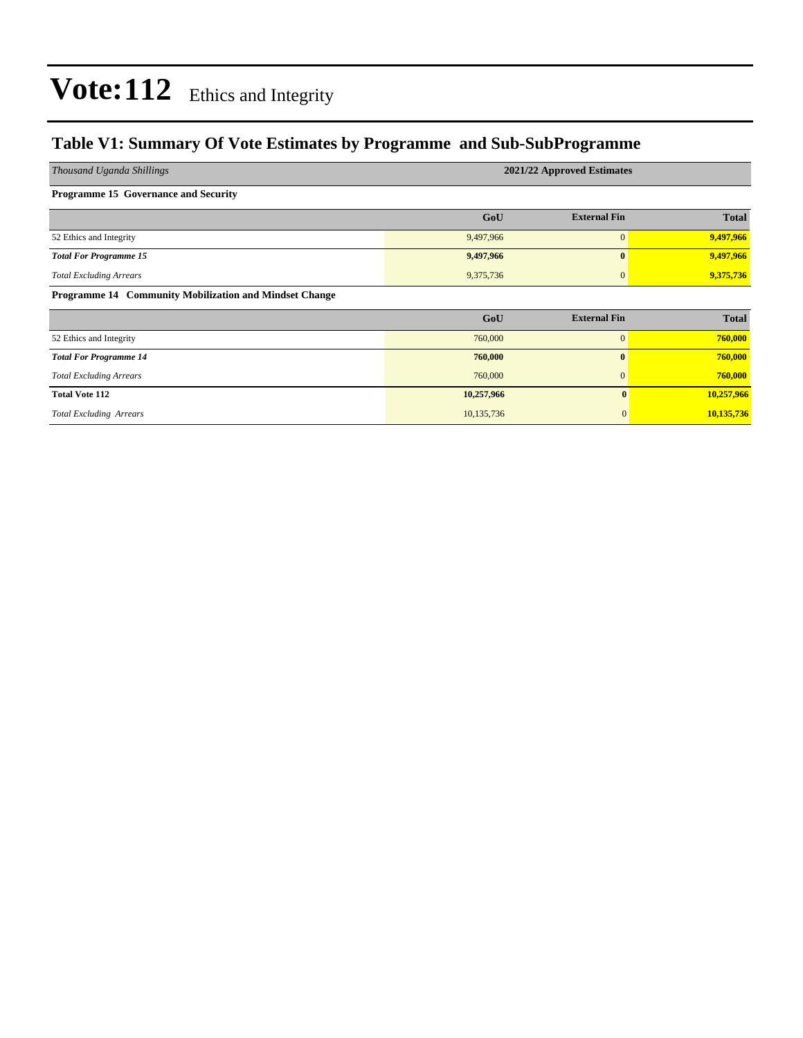### **Table V1: Summary Of Vote Estimates by Programme and Sub-SubProgramme**

| Thousand Uganda Shillings                              | 2021/22 Approved Estimates |                     |              |  |  |  |  |  |  |
|--------------------------------------------------------|----------------------------|---------------------|--------------|--|--|--|--|--|--|
| <b>Programme 15 Governance and Security</b>            |                            |                     |              |  |  |  |  |  |  |
|                                                        | GoU                        | <b>External Fin</b> | <b>Total</b> |  |  |  |  |  |  |
| 52 Ethics and Integrity                                | 9,497,966                  | $\overline{0}$      | 9,497,966    |  |  |  |  |  |  |
| <b>Total For Programme 15</b>                          | 9,497,966                  | $\mathbf{0}$        | 9,497,966    |  |  |  |  |  |  |
| <b>Total Excluding Arrears</b>                         | 9,375,736                  | $\mathbf{0}$        | 9,375,736    |  |  |  |  |  |  |
| Programme 14 Community Mobilization and Mindset Change |                            |                     |              |  |  |  |  |  |  |
|                                                        | GoU                        | <b>External Fin</b> | <b>Total</b> |  |  |  |  |  |  |
| 52 Ethics and Integrity                                | 760,000                    | $\overline{0}$      | 760,000      |  |  |  |  |  |  |
| <b>Total For Programme 14</b>                          | 760,000                    | $\mathbf{0}$        | 760,000      |  |  |  |  |  |  |
| <b>Total Excluding Arrears</b>                         | 760,000                    | $\mathbf{0}$        | 760,000      |  |  |  |  |  |  |
| <b>Total Vote 112</b>                                  | 10,257,966                 | $\mathbf{0}$        | 10,257,966   |  |  |  |  |  |  |
| <b>Total Excluding Arrears</b>                         | 10,135,736                 | $\mathbf{0}$        | 10,135,736   |  |  |  |  |  |  |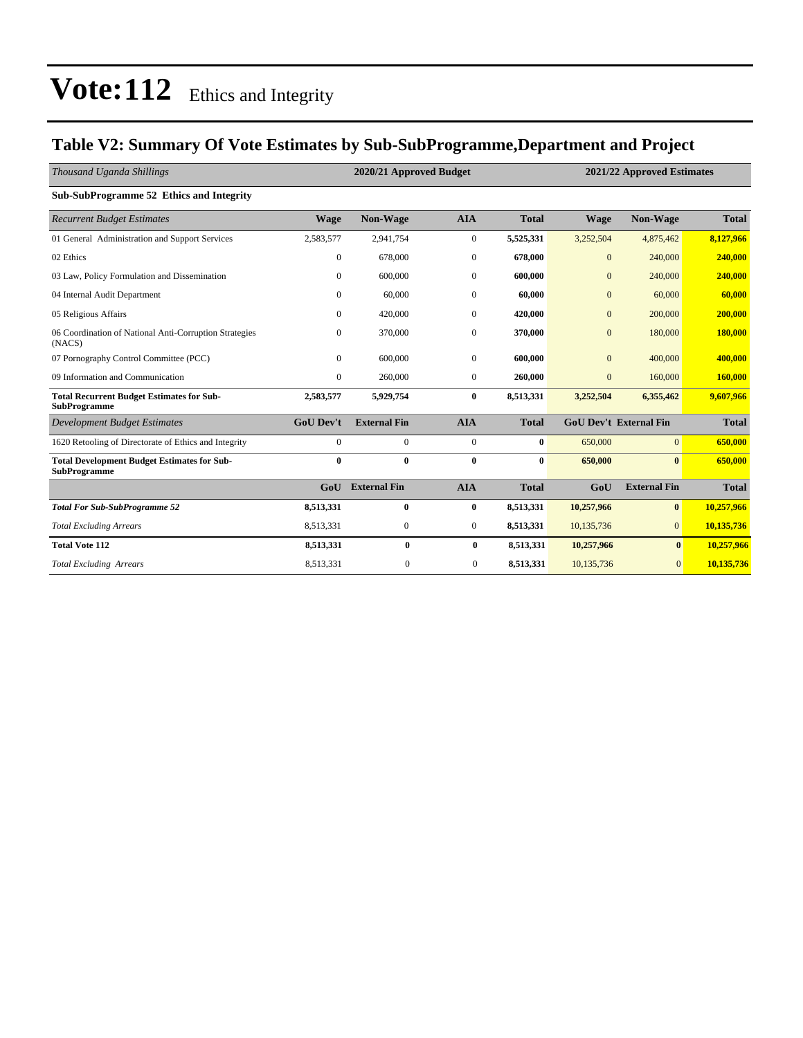### **Table V2: Summary Of Vote Estimates by Sub-SubProgramme,Department and Project**

| Thousand Uganda Shillings                                                 |                  | 2020/21 Approved Budget |                  |              |                  | 2021/22 Approved Estimates    |              |  |  |
|---------------------------------------------------------------------------|------------------|-------------------------|------------------|--------------|------------------|-------------------------------|--------------|--|--|
| Sub-SubProgramme 52 Ethics and Integrity                                  |                  |                         |                  |              |                  |                               |              |  |  |
| <b>Recurrent Budget Estimates</b>                                         | <b>Wage</b>      | Non-Wage                | <b>AIA</b>       | <b>Total</b> | <b>Wage</b>      | Non-Wage                      | <b>Total</b> |  |  |
| 01 General Administration and Support Services                            | 2,583,577        | 2,941,754               | $\boldsymbol{0}$ | 5,525,331    | 3,252,504        | 4,875,462                     | 8,127,966    |  |  |
| 02 Ethics                                                                 | $\mathbf{0}$     | 678,000                 | $\mathbf{0}$     | 678.000      | $\overline{0}$   | 240,000                       | 240,000      |  |  |
| 03 Law, Policy Formulation and Dissemination                              | $\mathbf{0}$     | 600,000                 | $\mathbf{0}$     | 600,000      | $\overline{0}$   | 240,000                       | 240,000      |  |  |
| 04 Internal Audit Department                                              | $\Omega$         | 60,000                  | $\mathbf{0}$     | 60,000       | $\overline{0}$   | 60,000                        | 60,000       |  |  |
| 05 Religious Affairs                                                      | $\Omega$         | 420,000                 | $\boldsymbol{0}$ | 420,000      | $\boldsymbol{0}$ | 200,000                       | 200,000      |  |  |
| 06 Coordination of National Anti-Corruption Strategies<br>(NACS)          | $\Omega$         | 370,000                 | $\Omega$         | 370,000      | $\overline{0}$   | 180,000                       | 180,000      |  |  |
| 07 Pornography Control Committee (PCC)                                    | $\mathbf{0}$     | 600,000                 | $\mathbf{0}$     | 600,000      | $\mathbf{0}$     | 400,000                       | 400,000      |  |  |
| 09 Information and Communication                                          | $\mathbf{0}$     | 260,000                 | $\mathbf{0}$     | 260,000      | $\boldsymbol{0}$ | 160,000                       | 160,000      |  |  |
| <b>Total Recurrent Budget Estimates for Sub-</b><br><b>SubProgramme</b>   | 2,583,577        | 5,929,754               | $\bf{0}$         | 8,513,331    | 3,252,504        | 6,355,462                     | 9,607,966    |  |  |
| <b>Development Budget Estimates</b>                                       | <b>GoU Dev't</b> | <b>External Fin</b>     | <b>AIA</b>       | <b>Total</b> |                  | <b>GoU Dev't External Fin</b> | <b>Total</b> |  |  |
| 1620 Retooling of Directorate of Ethics and Integrity                     | $\Omega$         | $\mathbf{0}$            | $\mathbf{0}$     | $\bf{0}$     | 650,000          | $\overline{0}$                | 650,000      |  |  |
| <b>Total Development Budget Estimates for Sub-</b><br><b>SubProgramme</b> | $\bf{0}$         | $\mathbf{0}$            | $\bf{0}$         | $\bf{0}$     | 650,000          | $\mathbf{0}$                  | 650,000      |  |  |
|                                                                           | GoU              | <b>External Fin</b>     | <b>AIA</b>       | <b>Total</b> | GoU              | <b>External Fin</b>           | <b>Total</b> |  |  |
| <b>Total For Sub-SubProgramme 52</b>                                      | 8,513,331        | $\bf{0}$                | $\bf{0}$         | 8,513,331    | 10,257,966       | $\bf{0}$                      | 10,257,966   |  |  |
| <b>Total Excluding Arrears</b>                                            | 8,513,331        | $\mathbf{0}$            | $\mathbf{0}$     | 8,513,331    | 10,135,736       | $\overline{0}$                | 10,135,736   |  |  |
| <b>Total Vote 112</b>                                                     | 8,513,331        | $\bf{0}$                | $\bf{0}$         | 8,513,331    | 10,257,966       | $\bf{0}$                      | 10,257,966   |  |  |
| <b>Total Excluding Arrears</b>                                            | 8,513,331        | $\mathbf{0}$            | $\mathbf{0}$     | 8,513,331    | 10,135,736       | $\overline{0}$                | 10,135,736   |  |  |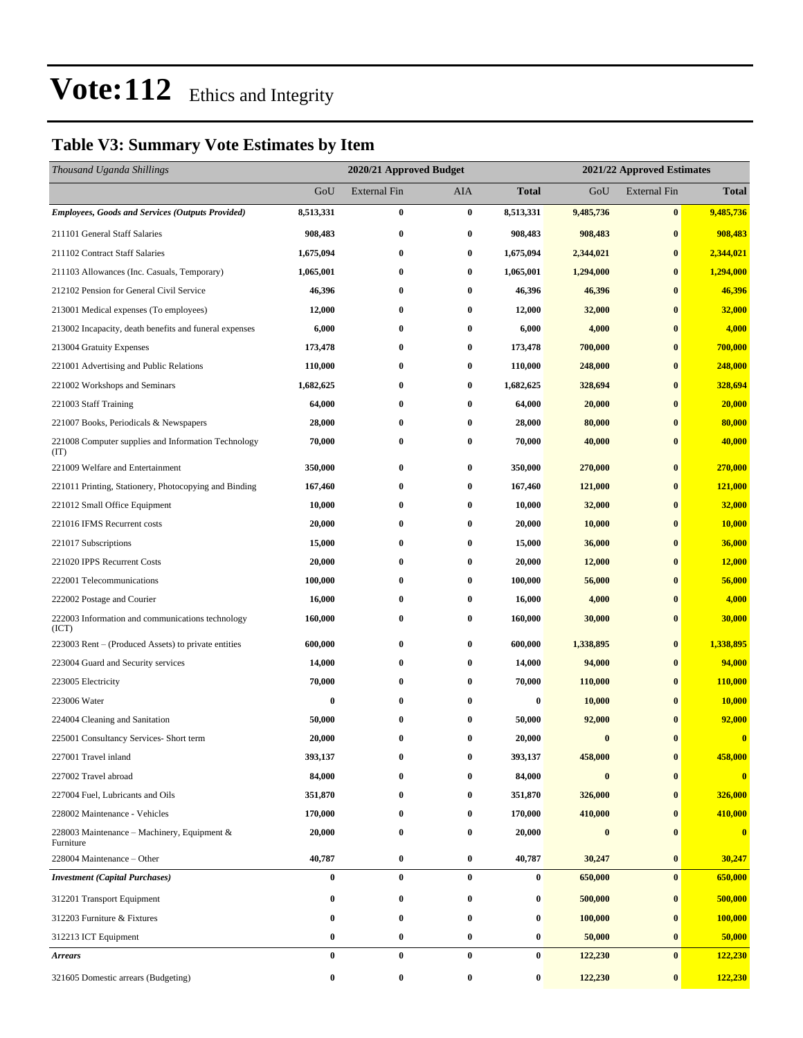### **Table V3: Summary Vote Estimates by Item**

| Thousand Uganda Shillings                                   |                  | 2020/21 Approved Budget |                  |                  | 2021/22 Approved Estimates |                     |              |
|-------------------------------------------------------------|------------------|-------------------------|------------------|------------------|----------------------------|---------------------|--------------|
|                                                             | GoU              | <b>External Fin</b>     | AIA              | <b>Total</b>     | GoU                        | <b>External Fin</b> | <b>Total</b> |
| <b>Employees, Goods and Services (Outputs Provided)</b>     | 8,513,331        | $\bf{0}$                | $\bf{0}$         | 8,513,331        | 9,485,736                  | $\bf{0}$            | 9,485,736    |
| 211101 General Staff Salaries                               | 908,483          | $\bf{0}$                | $\bf{0}$         | 908,483          | 908,483                    | $\bf{0}$            | 908,483      |
| 211102 Contract Staff Salaries                              | 1,675,094        | $\bf{0}$                | $\boldsymbol{0}$ | 1,675,094        | 2,344,021                  | $\bf{0}$            | 2,344,021    |
| 211103 Allowances (Inc. Casuals, Temporary)                 | 1,065,001        | $\bf{0}$                | $\bf{0}$         | 1,065,001        | 1,294,000                  | $\bf{0}$            | 1,294,000    |
| 212102 Pension for General Civil Service                    | 46,396           | $\bf{0}$                | $\bf{0}$         | 46,396           | 46,396                     | $\bf{0}$            | 46,396       |
| 213001 Medical expenses (To employees)                      | 12,000           | $\bf{0}$                | $\bf{0}$         | 12,000           | 32,000                     | $\bf{0}$            | 32,000       |
| 213002 Incapacity, death benefits and funeral expenses      | 6,000            | $\bf{0}$                | 0                | 6,000            | 4,000                      | $\bf{0}$            | 4,000        |
| 213004 Gratuity Expenses                                    | 173,478          | 0                       | $\boldsymbol{0}$ | 173,478          | 700,000                    | $\bf{0}$            | 700,000      |
| 221001 Advertising and Public Relations                     | 110,000          | $\bf{0}$                | $\bf{0}$         | 110,000          | 248,000                    | $\bf{0}$            | 248,000      |
| 221002 Workshops and Seminars                               | 1,682,625        | $\bf{0}$                | $\bf{0}$         | 1,682,625        | 328,694                    | $\bf{0}$            | 328,694      |
| 221003 Staff Training                                       | 64,000           | $\bf{0}$                | $\bf{0}$         | 64,000           | 20,000                     | $\bf{0}$            | 20,000       |
| 221007 Books, Periodicals & Newspapers                      | 28,000           | $\bf{0}$                | 0                | 28,000           | 80,000                     | $\bf{0}$            | 80,000       |
| 221008 Computer supplies and Information Technology<br>(TT) | 70,000           | $\bf{0}$                | $\bf{0}$         | 70,000           | 40,000                     | $\bf{0}$            | 40,000       |
| 221009 Welfare and Entertainment                            | 350,000          | $\bf{0}$                | $\bf{0}$         | 350,000          | 270,000                    | $\bf{0}$            | 270,000      |
| 221011 Printing, Stationery, Photocopying and Binding       | 167,460          | $\bf{0}$                | $\bf{0}$         | 167,460          | 121,000                    | $\bf{0}$            | 121,000      |
| 221012 Small Office Equipment                               | 10,000           | 0                       | $\bf{0}$         | 10,000           | 32,000                     | $\bf{0}$            | 32,000       |
| 221016 IFMS Recurrent costs                                 | 20,000           | $\bf{0}$                | $\bf{0}$         | 20,000           | 10,000                     | $\bf{0}$            | 10,000       |
| 221017 Subscriptions                                        | 15,000           | $\bf{0}$                | $\bf{0}$         | 15,000           | 36,000                     | $\bf{0}$            | 36,000       |
| 221020 IPPS Recurrent Costs                                 | 20,000           | 0                       | $\bf{0}$         | 20,000           | 12,000                     | $\bf{0}$            | 12,000       |
| 222001 Telecommunications                                   | 100,000          | $\bf{0}$                | 0                | 100,000          | 56,000                     | $\bf{0}$            | 56,000       |
| 222002 Postage and Courier                                  | 16,000           | 0                       | $\bf{0}$         | 16,000           | 4,000                      | $\bf{0}$            | 4,000        |
| 222003 Information and communications technology<br>(ICT)   | 160,000          | $\bf{0}$                | $\bf{0}$         | 160,000          | 30,000                     | $\bf{0}$            | 30,000       |
| 223003 Rent – (Produced Assets) to private entities         | 600,000          | $\bf{0}$                | 0                | 600,000          | 1,338,895                  | $\bf{0}$            | 1,338,895    |
| 223004 Guard and Security services                          | 14,000           | 0                       | $\bf{0}$         | 14,000           | 94,000                     | $\bf{0}$            | 94,000       |
| 223005 Electricity                                          | 70,000           | 0                       | $\bf{0}$         | 70,000           | 110,000                    | $\bf{0}$            | 110,000      |
| 223006 Water                                                | $\bf{0}$         | $\bf{0}$                | 0                | $\boldsymbol{0}$ | 10,000                     | $\bf{0}$            | 10,000       |
| 224004 Cleaning and Sanitation                              | 50,000           | 0                       | $\bf{0}$         | 50,000           | 92,000                     | $\mathbf{0}$        | 92,000       |
| 225001 Consultancy Services- Short term                     | 20,000           | $\bf{0}$                | $\bf{0}$         | 20,000           | $\bf{0}$                   | $\bf{0}$            | $\bf{0}$     |
| 227001 Travel inland                                        | 393,137          | 0                       | 0                | 393,137          | 458,000                    | $\bf{0}$            | 458,000      |
| 227002 Travel abroad                                        | 84,000           | 0                       | $\bf{0}$         | 84,000           | $\bf{0}$                   | $\bf{0}$            | $\bf{0}$     |
| 227004 Fuel, Lubricants and Oils                            | 351,870          | $\bf{0}$                | $\bf{0}$         | 351,870          | 326,000                    | $\bf{0}$            | 326,000      |
| 228002 Maintenance - Vehicles                               | 170,000          | $\bf{0}$                | $\bf{0}$         | 170,000          | 410,000                    | $\bf{0}$            | 410,000      |
| 228003 Maintenance – Machinery, Equipment $\&$<br>Furniture | 20,000           | $\bf{0}$                | $\bf{0}$         | 20,000           | $\pmb{0}$                  | $\bf{0}$            | $\bf{0}$     |
| 228004 Maintenance - Other                                  | 40,787           | $\bf{0}$                | $\bf{0}$         | 40,787           | 30,247                     | $\bf{0}$            | 30,247       |
| <b>Investment</b> (Capital Purchases)                       | $\bf{0}$         | $\bf{0}$                | $\bf{0}$         | 0                | 650,000                    | $\bf{0}$            | 650,000      |
| 312201 Transport Equipment                                  | $\bf{0}$         | $\bf{0}$                | $\bf{0}$         | $\bf{0}$         | 500,000                    | $\bf{0}$            | 500,000      |
| 312203 Furniture & Fixtures                                 | 0                | $\bf{0}$                | $\bf{0}$         | 0                | 100,000                    | $\bf{0}$            | 100,000      |
| 312213 ICT Equipment                                        | 0                | $\bf{0}$                | $\bf{0}$         | $\boldsymbol{0}$ | 50,000                     | $\bf{0}$            | 50,000       |
| <b>Arrears</b>                                              | $\bf{0}$         | $\bf{0}$                | $\bf{0}$         | 0                | 122,230                    | $\bf{0}$            | 122,230      |
| 321605 Domestic arrears (Budgeting)                         | $\boldsymbol{0}$ | $\pmb{0}$               | $\bf{0}$         | $\boldsymbol{0}$ | 122,230                    | $\bf{0}$            | 122,230      |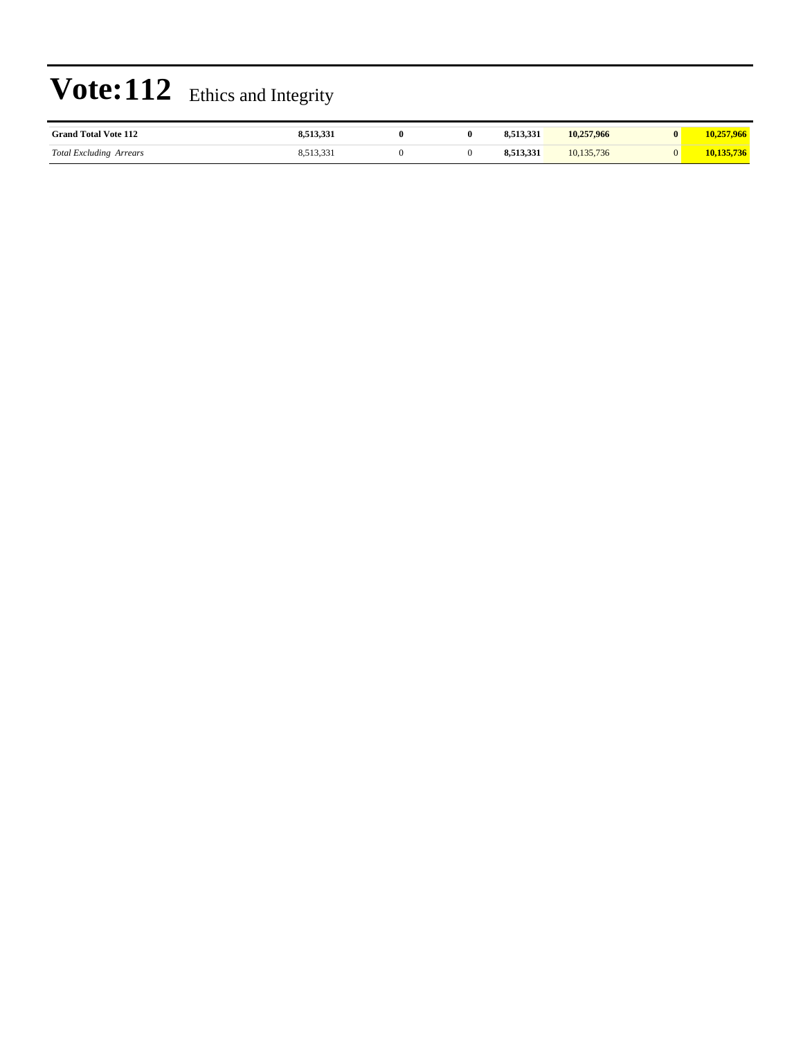| <b>Grand Total Vote 112</b>   |          |  | 10.257,966   | $\mathbf{0}$ |  |
|-------------------------------|----------|--|--------------|--------------|--|
| Total<br>Arrears<br>Excluding | <u>.</u> |  | 130<br>.U.I. |              |  |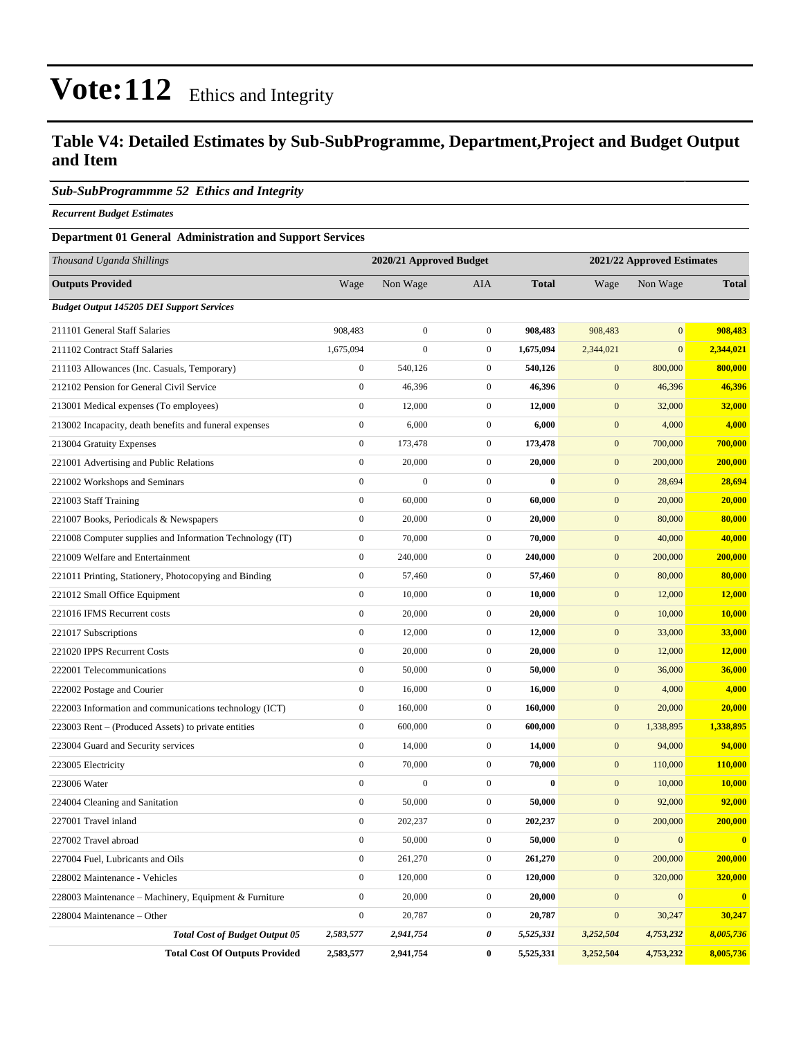### **Table V4: Detailed Estimates by Sub-SubProgramme, Department,Project and Budget Output and Item**

#### *Sub-SubProgrammme 52 Ethics and Integrity*

*Recurrent Budget Estimates*

#### **Department 01 General Administration and Support Services**

| Thousand Uganda Shillings                                |                  | 2020/21 Approved Budget |                  |              |                  | 2021/22 Approved Estimates |              |
|----------------------------------------------------------|------------------|-------------------------|------------------|--------------|------------------|----------------------------|--------------|
| <b>Outputs Provided</b>                                  | Wage             | Non Wage                | <b>AIA</b>       | <b>Total</b> | Wage             | Non Wage                   | <b>Total</b> |
| <b>Budget Output 145205 DEI Support Services</b>         |                  |                         |                  |              |                  |                            |              |
| 211101 General Staff Salaries                            | 908,483          | $\boldsymbol{0}$        | $\mathbf{0}$     | 908,483      | 908,483          | $\mathbf{0}$               | 908,483      |
| 211102 Contract Staff Salaries                           | 1,675,094        | $\boldsymbol{0}$        | $\mathbf{0}$     | 1,675,094    | 2,344,021        | $\mathbf{0}$               | 2,344,021    |
| 211103 Allowances (Inc. Casuals, Temporary)              | $\boldsymbol{0}$ | 540,126                 | $\mathbf{0}$     | 540,126      | $\mathbf{0}$     | 800,000                    | 800,000      |
| 212102 Pension for General Civil Service                 | $\boldsymbol{0}$ | 46,396                  | $\boldsymbol{0}$ | 46,396       | $\mathbf{0}$     | 46,396                     | 46,396       |
| 213001 Medical expenses (To employees)                   | $\boldsymbol{0}$ | 12,000                  | $\boldsymbol{0}$ | 12,000       | $\boldsymbol{0}$ | 32,000                     | 32,000       |
| 213002 Incapacity, death benefits and funeral expenses   | $\boldsymbol{0}$ | 6,000                   | $\boldsymbol{0}$ | 6,000        | $\boldsymbol{0}$ | 4,000                      | 4,000        |
| 213004 Gratuity Expenses                                 | $\boldsymbol{0}$ | 173,478                 | $\mathbf{0}$     | 173,478      | $\boldsymbol{0}$ | 700,000                    | 700,000      |
| 221001 Advertising and Public Relations                  | $\boldsymbol{0}$ | 20,000                  | $\mathbf{0}$     | 20,000       | $\mathbf{0}$     | 200,000                    | 200,000      |
| 221002 Workshops and Seminars                            | $\mathbf{0}$     | $\boldsymbol{0}$        | $\boldsymbol{0}$ | $\bf{0}$     | $\mathbf{0}$     | 28,694                     | 28,694       |
| 221003 Staff Training                                    | $\boldsymbol{0}$ | 60,000                  | $\boldsymbol{0}$ | 60,000       | $\boldsymbol{0}$ | 20,000                     | 20,000       |
| 221007 Books, Periodicals & Newspapers                   | $\boldsymbol{0}$ | 20,000                  | $\boldsymbol{0}$ | 20,000       | $\boldsymbol{0}$ | 80,000                     | 80,000       |
| 221008 Computer supplies and Information Technology (IT) | $\boldsymbol{0}$ | 70,000                  | $\mathbf{0}$     | 70,000       | $\boldsymbol{0}$ | 40,000                     | 40,000       |
| 221009 Welfare and Entertainment                         | $\boldsymbol{0}$ | 240,000                 | $\mathbf{0}$     | 240,000      | $\mathbf{0}$     | 200,000                    | 200,000      |
| 221011 Printing, Stationery, Photocopying and Binding    | $\boldsymbol{0}$ | 57,460                  | $\mathbf{0}$     | 57,460       | $\mathbf{0}$     | 80,000                     | 80,000       |
| 221012 Small Office Equipment                            | $\boldsymbol{0}$ | 10,000                  | $\boldsymbol{0}$ | 10,000       | $\boldsymbol{0}$ | 12,000                     | 12,000       |
| 221016 IFMS Recurrent costs                              | $\boldsymbol{0}$ | 20,000                  | $\boldsymbol{0}$ | 20,000       | $\boldsymbol{0}$ | 10,000                     | 10,000       |
| 221017 Subscriptions                                     | $\boldsymbol{0}$ | 12,000                  | $\mathbf{0}$     | 12,000       | $\boldsymbol{0}$ | 33,000                     | 33,000       |
| 221020 IPPS Recurrent Costs                              | $\boldsymbol{0}$ | 20,000                  | $\mathbf{0}$     | 20,000       | $\boldsymbol{0}$ | 12,000                     | 12,000       |
| 222001 Telecommunications                                | $\boldsymbol{0}$ | 50,000                  | $\boldsymbol{0}$ | 50,000       | $\mathbf{0}$     | 36,000                     | 36,000       |
| 222002 Postage and Courier                               | $\boldsymbol{0}$ | 16,000                  | $\boldsymbol{0}$ | 16,000       | $\boldsymbol{0}$ | 4,000                      | 4,000        |
| 222003 Information and communications technology (ICT)   | $\boldsymbol{0}$ | 160,000                 | $\boldsymbol{0}$ | 160,000      | $\boldsymbol{0}$ | 20,000                     | 20,000       |
| 223003 Rent – (Produced Assets) to private entities      | $\boldsymbol{0}$ | 600,000                 | $\mathbf{0}$     | 600,000      | $\boldsymbol{0}$ | 1,338,895                  | 1,338,895    |
| 223004 Guard and Security services                       | $\boldsymbol{0}$ | 14,000                  | $\mathbf{0}$     | 14,000       | $\mathbf{0}$     | 94,000                     | 94,000       |
| 223005 Electricity                                       | $\boldsymbol{0}$ | 70,000                  | $\boldsymbol{0}$ | 70,000       | $\mathbf{0}$     | 110,000                    | 110,000      |
| 223006 Water                                             | $\boldsymbol{0}$ | $\boldsymbol{0}$        | $\mathbf{0}$     | $\bf{0}$     | $\boldsymbol{0}$ | 10,000                     | 10,000       |
| 224004 Cleaning and Sanitation                           | $\boldsymbol{0}$ | 50,000                  | $\boldsymbol{0}$ | 50,000       | $\boldsymbol{0}$ | 92,000                     | 92,000       |
| 227001 Travel inland                                     | $\boldsymbol{0}$ | 202,237                 | $\mathbf{0}$     | 202,237      | $\mathbf{0}$     | 200,000                    | 200,000      |
| 227002 Travel abroad                                     | $\boldsymbol{0}$ | 50,000                  | $\boldsymbol{0}$ | 50,000       | $\boldsymbol{0}$ | $\boldsymbol{0}$           | $\bf{0}$     |
| 227004 Fuel, Lubricants and Oils                         | $\boldsymbol{0}$ | 261,270                 | $\boldsymbol{0}$ | 261,270      | $\boldsymbol{0}$ | 200,000                    | 200,000      |
| 228002 Maintenance - Vehicles                            | $\boldsymbol{0}$ | 120,000                 | $\boldsymbol{0}$ | 120,000      | $\boldsymbol{0}$ | 320,000                    | 320,000      |
| 228003 Maintenance – Machinery, Equipment & Furniture    | $\boldsymbol{0}$ | 20,000                  | $\boldsymbol{0}$ | 20,000       | $\boldsymbol{0}$ | $\mathbf{0}$               | $\mathbf{0}$ |
| 228004 Maintenance – Other                               | $\boldsymbol{0}$ | 20,787                  | $\boldsymbol{0}$ | 20,787       | $\boldsymbol{0}$ | 30,247                     | 30,247       |
| <b>Total Cost of Budget Output 05</b>                    | 2,583,577        | 2,941,754               | 0                | 5,525,331    | 3,252,504        | 4,753,232                  | 8,005,736    |
| <b>Total Cost Of Outputs Provided</b>                    | 2,583,577        | 2,941,754               | $\bf{0}$         | 5,525,331    | 3,252,504        | 4,753,232                  | 8,005,736    |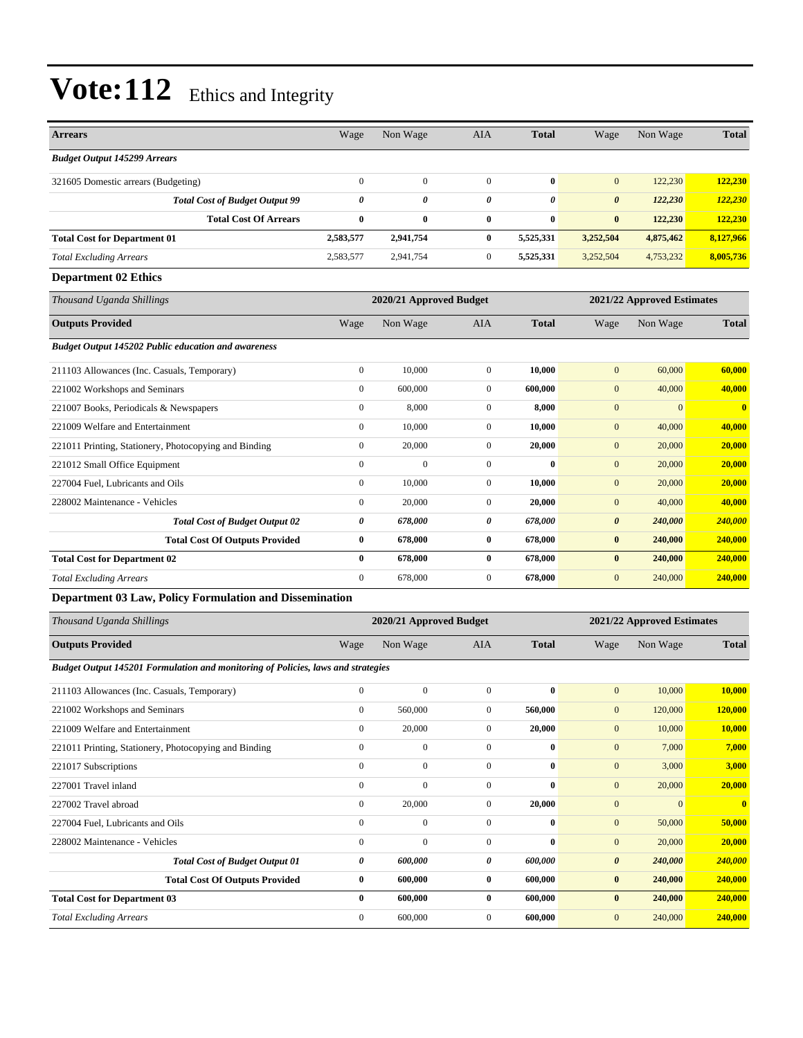| <b>Arrears</b>                                             | Wage           | Non Wage                | <b>AIA</b>   | <b>Total</b> | Wage                  | Non Wage                   | <b>Total</b> |  |
|------------------------------------------------------------|----------------|-------------------------|--------------|--------------|-----------------------|----------------------------|--------------|--|
| <b>Budget Output 145299 Arrears</b>                        |                |                         |              |              |                       |                            |              |  |
| 321605 Domestic arrears (Budgeting)                        | $\overline{0}$ | $\boldsymbol{0}$        | $\mathbf{0}$ | $\bf{0}$     | $\overline{0}$        | 122,230                    | 122,230      |  |
| <b>Total Cost of Budget Output 99</b>                      | 0              | $\theta$                | $\theta$     | 0            | $\boldsymbol{\theta}$ | 122,230                    | 122,230      |  |
| <b>Total Cost Of Arrears</b>                               | $\bf{0}$       | $\bf{0}$                | $\bf{0}$     | $\bf{0}$     | $\bf{0}$              | 122,230                    | 122,230      |  |
| <b>Total Cost for Department 01</b>                        | 2,583,577      | 2,941,754               | $\bf{0}$     | 5,525,331    | 3,252,504             | 4,875,462                  | 8,127,966    |  |
| <b>Total Excluding Arrears</b>                             | 2,583,577      | 2,941,754               | $\mathbf{0}$ | 5,525,331    | 3,252,504             | 4,753,232                  | 8,005,736    |  |
| <b>Department 02 Ethics</b>                                |                |                         |              |              |                       |                            |              |  |
| Thousand Uganda Shillings                                  |                | 2020/21 Approved Budget |              |              |                       | 2021/22 Approved Estimates |              |  |
| <b>Outputs Provided</b>                                    | Wage           | Non Wage                | <b>AIA</b>   | <b>Total</b> | Wage                  | Non Wage                   | <b>Total</b> |  |
| <b>Budget Output 145202 Public education and awareness</b> |                |                         |              |              |                       |                            |              |  |
| 211103 Allowances (Inc. Casuals, Temporary)                | $\overline{0}$ | 10,000                  | $\mathbf{0}$ | 10,000       | $\mathbf{0}$          | 60,000                     | 60,000       |  |
| 221002 Workshops and Seminars                              | $\overline{0}$ | 600,000                 | $\mathbf{0}$ | 600,000      | $\overline{0}$        | 40,000                     | 40,000       |  |
| 221007 Books, Periodicals & Newspapers                     | $\overline{0}$ | 8,000                   | $\mathbf{0}$ | 8,000        | $\boldsymbol{0}$      | $\mathbf{0}$               | $\bf{0}$     |  |
| 221009 Welfare and Entertainment                           | $\overline{0}$ | 10,000                  | $\mathbf{0}$ | 10.000       | $\mathbf{0}$          | 40,000                     | 40,000       |  |
| 221011 Printing, Stationery, Photocopying and Binding      | $\overline{0}$ | 20,000                  | $\mathbf{0}$ | 20,000       | $\mathbf{0}$          | 20,000                     | 20,000       |  |
| 221012 Small Office Equipment                              | $\mathbf{0}$   | $\mathbf{0}$            | $\mathbf{0}$ | 0            | $\mathbf{0}$          | 20,000                     | 20,000       |  |
| 227004 Fuel, Lubricants and Oils                           | $\overline{0}$ | 10,000                  | $\mathbf{0}$ | 10,000       | $\mathbf{0}$          | 20,000                     | 20,000       |  |
| 228002 Maintenance - Vehicles                              | $\overline{0}$ | 20,000                  | $\mathbf{0}$ | 20.000       | $\mathbf{0}$          | 40,000                     | 40.000       |  |
| <b>Total Cost of Budget Output 02</b>                      | 0              | 678,000                 | 0            | 678,000      | $\boldsymbol{\theta}$ | 240,000                    | 240,000      |  |
| <b>Total Cost Of Outputs Provided</b>                      | $\bf{0}$       | 678,000                 | $\bf{0}$     | 678,000      | $\bf{0}$              | 240,000                    | 240,000      |  |
| <b>Total Cost for Department 02</b>                        | $\bf{0}$       | 678,000                 | $\bf{0}$     | 678,000      | $\bf{0}$              | 240,000                    | 240,000      |  |
| <b>Total Excluding Arrears</b>                             | $\overline{0}$ | 678,000                 | $\mathbf{0}$ | 678,000      | $\overline{0}$        | 240,000                    | 240,000      |  |

#### **Department 03 Law, Policy Formulation and Dissemination**

| Thousand Uganda Shillings                                                        |              | 2020/21 Approved Budget |                |              |                       | 2021/22 Approved Estimates |              |
|----------------------------------------------------------------------------------|--------------|-------------------------|----------------|--------------|-----------------------|----------------------------|--------------|
| <b>Outputs Provided</b>                                                          | Wage         | Non Wage                | <b>AIA</b>     | <b>Total</b> | Wage                  | Non Wage                   | <b>Total</b> |
| Budget Output 145201 Formulation and monitoring of Policies, laws and strategies |              |                         |                |              |                       |                            |              |
| 211103 Allowances (Inc. Casuals, Temporary)                                      | $\mathbf{0}$ | $\mathbf{0}$            | $\mathbf{0}$   | $\bf{0}$     | $\mathbf{0}$          | 10,000                     | 10,000       |
| 221002 Workshops and Seminars                                                    | $\mathbf{0}$ | 560,000                 | $\Omega$       | 560,000      | $\mathbf{0}$          | 120,000                    | 120,000      |
| 221009 Welfare and Entertainment                                                 | $\mathbf{0}$ | 20,000                  | $\overline{0}$ | 20,000       | $\mathbf{0}$          | 10,000                     | 10,000       |
| 221011 Printing, Stationery, Photocopying and Binding                            | $\mathbf{0}$ | $\mathbf{0}$            | $\mathbf{0}$   | $\bf{0}$     | $\mathbf{0}$          | 7,000                      | 7,000        |
| 221017 Subscriptions                                                             | $\mathbf{0}$ | $\mathbf{0}$            | $\mathbf{0}$   | $\bf{0}$     | $\mathbf{0}$          | 3,000                      | 3,000        |
| 227001 Travel inland                                                             | $\mathbf{0}$ | $\mathbf{0}$            | $\Omega$       | $\bf{0}$     | $\mathbf{0}$          | 20,000                     | 20,000       |
| 227002 Travel abroad                                                             | $\mathbf{0}$ | 20,000                  | $\overline{0}$ | 20,000       | $\mathbf{0}$          | $\mathbf{0}$               | $\mathbf{0}$ |
| 227004 Fuel, Lubricants and Oils                                                 | $\mathbf{0}$ | $\mathbf{0}$            | $\mathbf{0}$   | $\bf{0}$     | $\mathbf{0}$          | 50,000                     | 50,000       |
| 228002 Maintenance - Vehicles                                                    | $\Omega$     | $\Omega$                | $\mathbf{0}$   | $\mathbf{0}$ | $\mathbf{0}$          | 20,000                     | 20,000       |
| <b>Total Cost of Budget Output 01</b>                                            | 0            | 600,000                 | 0              | 600,000      | $\boldsymbol{\theta}$ | 240,000                    | 240,000      |
| <b>Total Cost Of Outputs Provided</b>                                            | $\bf{0}$     | 600,000                 | $\bf{0}$       | 600,000      | $\bf{0}$              | 240,000                    | 240,000      |
| <b>Total Cost for Department 03</b>                                              | $\bf{0}$     | 600,000                 | $\bf{0}$       | 600,000      | $\bf{0}$              | 240,000                    | 240,000      |
| <b>Total Excluding Arrears</b>                                                   | $\mathbf{0}$ | 600,000                 | $\mathbf{0}$   | 600,000      | $\mathbf{0}$          | 240,000                    | 240,000      |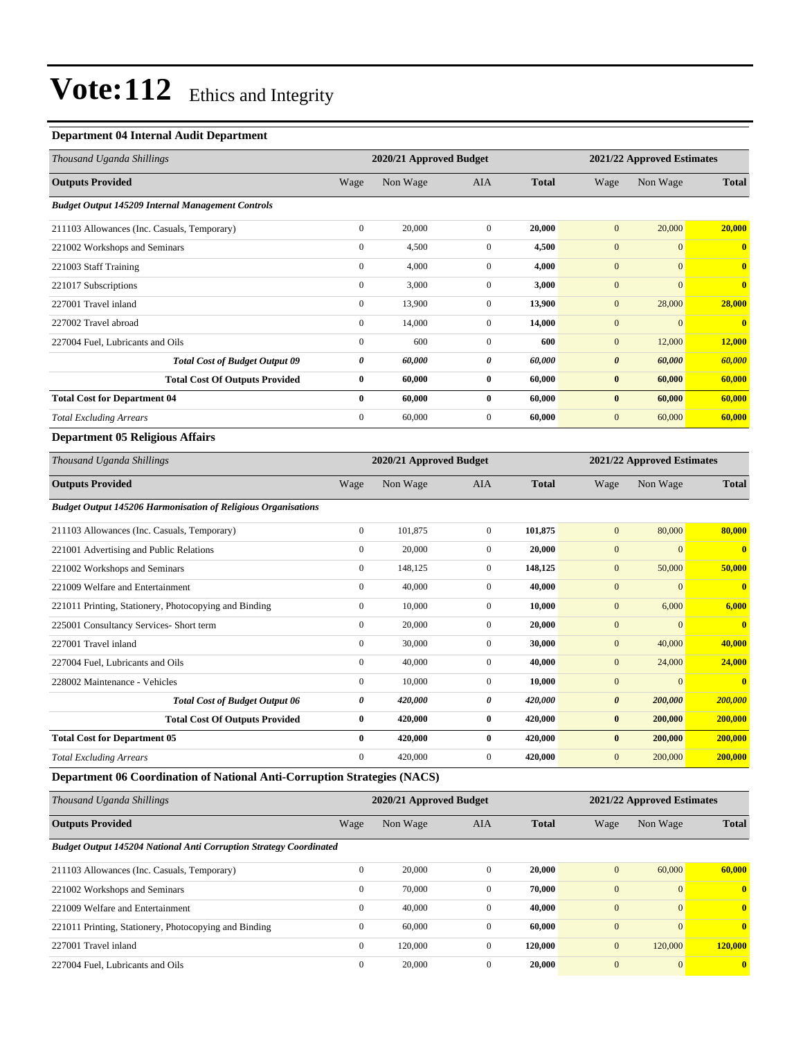#### **Department 04 Internal Audit Department**

| Thousand Uganda Shillings                                                |                         | 2020/21 Approved Budget |                       |              | 2021/22 Approved Estimates |                            |                         |
|--------------------------------------------------------------------------|-------------------------|-------------------------|-----------------------|--------------|----------------------------|----------------------------|-------------------------|
| <b>Outputs Provided</b>                                                  | Wage                    | Non Wage                | AIA                   | <b>Total</b> | Wage                       | Non Wage                   | <b>Total</b>            |
| <b>Budget Output 145209 Internal Management Controls</b>                 |                         |                         |                       |              |                            |                            |                         |
| 211103 Allowances (Inc. Casuals, Temporary)                              | $\boldsymbol{0}$        | 20,000                  | $\mathbf{0}$          | 20,000       | $\mathbf{0}$               | 20,000                     | 20,000                  |
| 221002 Workshops and Seminars                                            | $\boldsymbol{0}$        | 4,500                   | $\mathbf{0}$          | 4,500        | $\boldsymbol{0}$           | $\overline{0}$             | $\overline{0}$          |
| 221003 Staff Training                                                    | $\overline{0}$          | 4,000                   | $\mathbf{0}$          | 4,000        | $\overline{0}$             | $\mathbf{0}$               | $\bf{0}$                |
| 221017 Subscriptions                                                     | $\boldsymbol{0}$        | 3,000                   | $\mathbf{0}$          | 3,000        | $\mathbf{0}$               | $\mathbf{0}$               | $\bf{0}$                |
| 227001 Travel inland                                                     | $\boldsymbol{0}$        | 13,900                  | $\boldsymbol{0}$      | 13,900       | $\boldsymbol{0}$           | 28,000                     | 28,000                  |
| 227002 Travel abroad                                                     | $\overline{0}$          | 14,000                  | $\mathbf{0}$          | 14,000       | $\boldsymbol{0}$           | $\mathbf{0}$               | $\overline{\mathbf{0}}$ |
| 227004 Fuel, Lubricants and Oils                                         | $\boldsymbol{0}$        | 600                     | $\mathbf{0}$          | 600          | $\mathbf{0}$               | 12,000                     | 12,000                  |
| <b>Total Cost of Budget Output 09</b>                                    | 0                       | 60,000                  | $\boldsymbol{\theta}$ | 60,000       | $\boldsymbol{\theta}$      | 60,000                     | 60,000                  |
| <b>Total Cost Of Outputs Provided</b>                                    | $\boldsymbol{0}$        | 60,000                  | $\bf{0}$              | 60,000       | $\bf{0}$                   | 60,000                     | 60,000                  |
| <b>Total Cost for Department 04</b>                                      | $\bf{0}$                | 60,000                  | $\bf{0}$              | 60,000       | $\bf{0}$                   | 60,000                     | 60,000                  |
| <b>Total Excluding Arrears</b>                                           | $\overline{0}$          | 60,000                  | $\mathbf{0}$          | 60,000       | $\mathbf{0}$               | 60,000                     | 60,000                  |
| <b>Department 05 Religious Affairs</b>                                   |                         |                         |                       |              |                            |                            |                         |
| Thousand Uganda Shillings                                                | 2020/21 Approved Budget |                         |                       |              |                            | 2021/22 Approved Estimates |                         |
| <b>Outputs Provided</b>                                                  | Wage                    | Non Wage                | AIA                   | <b>Total</b> | Wage                       | Non Wage                   | <b>Total</b>            |
| <b>Budget Output 145206 Harmonisation of Religious Organisations</b>     |                         |                         |                       |              |                            |                            |                         |
| 211103 Allowances (Inc. Casuals, Temporary)                              | $\boldsymbol{0}$        | 101,875                 | $\mathbf{0}$          | 101,875      | $\overline{0}$             | 80,000                     | 80,000                  |
| 221001 Advertising and Public Relations                                  | $\boldsymbol{0}$        | 20,000                  | $\mathbf{0}$          | 20,000       | $\boldsymbol{0}$           | $\mathbf{0}$               | $\bf{0}$                |
| 221002 Workshops and Seminars                                            | $\boldsymbol{0}$        | 148,125                 | $\mathbf{0}$          | 148,125      | $\mathbf{0}$               | 50,000                     | 50,000                  |
| 221009 Welfare and Entertainment                                         | $\boldsymbol{0}$        | 40,000                  | $\mathbf{0}$          | 40,000       | $\overline{0}$             | $\mathbf{0}$               | $\overline{\mathbf{0}}$ |
| 221011 Printing, Stationery, Photocopying and Binding                    | $\boldsymbol{0}$        | 10,000                  | $\mathbf{0}$          | 10,000       | $\mathbf{0}$               | 6,000                      | 6,000                   |
| 225001 Consultancy Services- Short term                                  | $\boldsymbol{0}$        | 20,000                  | $\mathbf{0}$          | 20,000       | $\overline{0}$             | $\mathbf{0}$               | $\overline{0}$          |
| 227001 Travel inland                                                     | $\overline{0}$          | 30,000                  | $\mathbf{0}$          | 30,000       | $\overline{0}$             | 40,000                     | 40,000                  |
| 227004 Fuel, Lubricants and Oils                                         | $\overline{0}$          | 40,000                  | $\mathbf{0}$          | 40,000       | $\boldsymbol{0}$           | 24,000                     | 24,000                  |
| 228002 Maintenance - Vehicles                                            | $\boldsymbol{0}$        | 10,000                  | $\mathbf{0}$          | 10,000       | $\overline{0}$             | $\boldsymbol{0}$           |                         |
| <b>Total Cost of Budget Output 06</b>                                    | 0                       | 420,000                 | $\boldsymbol{\theta}$ | 420,000      | $\boldsymbol{\theta}$      | 200,000                    | 200,000                 |
| <b>Total Cost Of Outputs Provided</b>                                    | $\bf{0}$                | 420,000                 | $\bf{0}$              | 420,000      | $\pmb{0}$                  | 200,000                    | 200,000                 |
| <b>Total Cost for Department 05</b>                                      | $\bf{0}$                | 420,000                 | $\bf{0}$              | 420,000      | $\bf{0}$                   | 200,000                    | 200,000                 |
| <b>Total Excluding Arrears</b>                                           | $\overline{0}$          | 420,000                 | $\mathbf{0}$          | 420,000      | $\mathbf{0}$               | 200,000                    | 200,000                 |
| Department 06 Coordination of National Anti-Corruption Strategies (NACS) |                         |                         |                       |              |                            |                            |                         |

| Thousand Uganda Shillings                                                 |              | 2020/21 Approved Budget |              |              |                | 2021/22 Approved Estimates |              |
|---------------------------------------------------------------------------|--------------|-------------------------|--------------|--------------|----------------|----------------------------|--------------|
| <b>Outputs Provided</b>                                                   | Wage         | Non Wage                | <b>AIA</b>   | <b>Total</b> | Wage           | Non Wage                   | <b>Total</b> |
| <b>Budget Output 145204 National Anti Corruption Strategy Coordinated</b> |              |                         |              |              |                |                            |              |
| 211103 Allowances (Inc. Casuals, Temporary)                               | $\mathbf{0}$ | 20,000                  | $\Omega$     | 20,000       | $\mathbf{0}$   | 60,000                     | 60,000       |
| 221002 Workshops and Seminars                                             | $\mathbf{0}$ | 70,000                  | $\Omega$     | 70.000       | $\overline{0}$ | $\mathbf{0}$               | $\mathbf{0}$ |
| 221009 Welfare and Entertainment                                          | $\mathbf{0}$ | 40,000                  | $\Omega$     | 40.000       | $\overline{0}$ | $\Omega$                   | $\mathbf{0}$ |
| 221011 Printing, Stationery, Photocopying and Binding                     | $\mathbf{0}$ | 60,000                  | $\mathbf{0}$ | 60.000       | $\overline{0}$ | $\Omega$                   | $\mathbf{0}$ |
| 227001 Travel inland                                                      | $\mathbf{0}$ | 120,000                 | $\mathbf{0}$ | 120,000      | $\mathbf{0}$   | 120,000                    | 120,000      |
| 227004 Fuel, Lubricants and Oils                                          | $\mathbf{0}$ | 20,000                  | $\mathbf{0}$ | 20,000       | $\overline{0}$ | $\mathbf{0}$               | $\bf{0}$     |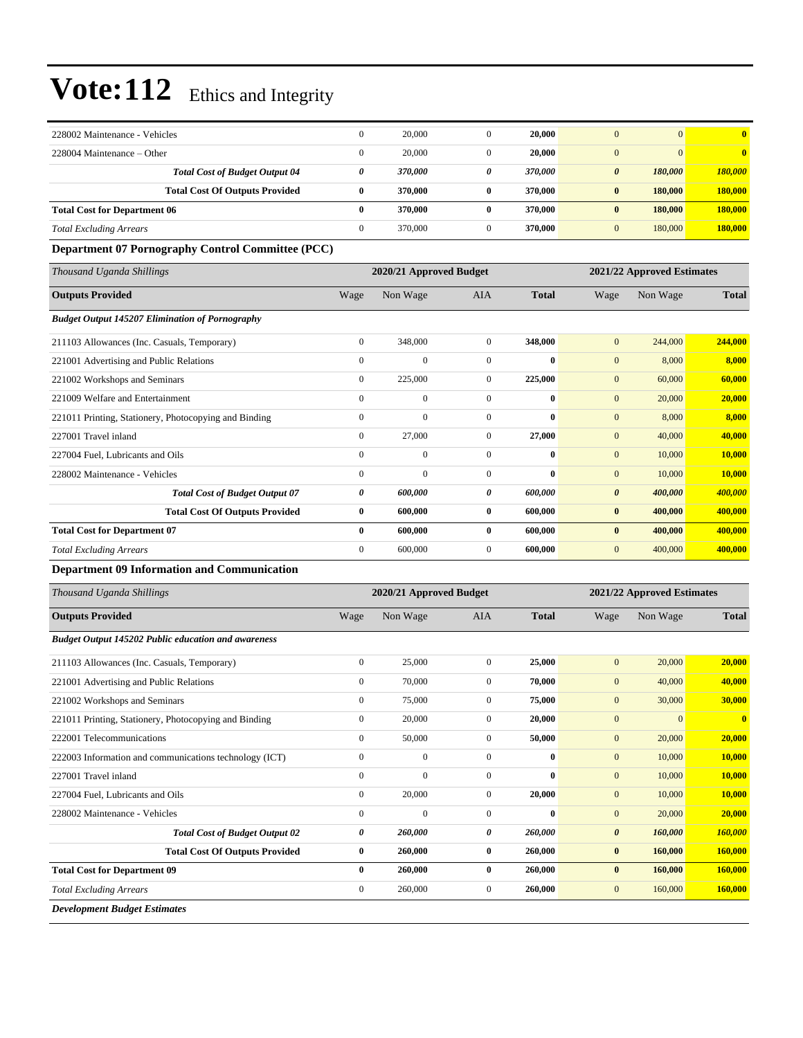| 228002 Maintenance - Vehicles                              | $\boldsymbol{0}$ | 20,000                  | $\mathbf{0}$     | 20,000           | $\mathbf{0}$          | $\mathbf{0}$               | $\overline{\mathbf{0}}$ |  |
|------------------------------------------------------------|------------------|-------------------------|------------------|------------------|-----------------------|----------------------------|-------------------------|--|
| 228004 Maintenance – Other                                 | $\boldsymbol{0}$ | 20,000                  | $\boldsymbol{0}$ | 20,000           | $\mathbf{0}$          | $\mathbf{0}$               | $\bf{0}$                |  |
| <b>Total Cost of Budget Output 04</b>                      | 0                | 370,000                 | 0                | 370,000          | $\boldsymbol{\theta}$ | 180,000                    | 180,000                 |  |
| <b>Total Cost Of Outputs Provided</b>                      | $\bf{0}$         | 370,000                 | $\bf{0}$         | 370,000          | $\bf{0}$              | 180,000                    | 180,000                 |  |
| <b>Total Cost for Department 06</b>                        | $\bf{0}$         | 370,000                 | $\bf{0}$         | 370,000          | $\bf{0}$              | 180,000                    | 180,000                 |  |
| <b>Total Excluding Arrears</b>                             | $\boldsymbol{0}$ | 370,000                 | $\boldsymbol{0}$ | 370,000          | $\mathbf{0}$          | 180,000                    | 180,000                 |  |
| <b>Department 07 Pornography Control Committee (PCC)</b>   |                  |                         |                  |                  |                       |                            |                         |  |
| Thousand Uganda Shillings                                  |                  | 2020/21 Approved Budget |                  |                  |                       | 2021/22 Approved Estimates |                         |  |
| <b>Outputs Provided</b>                                    | Wage             | Non Wage                | AIA              | <b>Total</b>     | Wage                  | Non Wage                   | <b>Total</b>            |  |
| <b>Budget Output 145207 Elimination of Pornography</b>     |                  |                         |                  |                  |                       |                            |                         |  |
| 211103 Allowances (Inc. Casuals, Temporary)                | $\boldsymbol{0}$ | 348,000                 | $\mathbf{0}$     | 348,000          | $\mathbf{0}$          | 244,000                    | 244,000                 |  |
| 221001 Advertising and Public Relations                    | $\boldsymbol{0}$ | $\boldsymbol{0}$        | $\boldsymbol{0}$ | $\bf{0}$         | $\mathbf{0}$          | 8,000                      | 8,000                   |  |
| 221002 Workshops and Seminars                              | $\boldsymbol{0}$ | 225,000                 | $\mathbf{0}$     | 225,000          | $\mathbf{0}$          | 60,000                     | 60,000                  |  |
| 221009 Welfare and Entertainment                           | $\boldsymbol{0}$ | $\boldsymbol{0}$        | $\boldsymbol{0}$ | $\bf{0}$         | $\mathbf{0}$          | 20,000                     | 20,000                  |  |
| 221011 Printing, Stationery, Photocopying and Binding      | $\boldsymbol{0}$ | $\overline{0}$          | $\boldsymbol{0}$ | $\bf{0}$         | $\mathbf{0}$          | 8,000                      | 8,000                   |  |
| 227001 Travel inland                                       | $\boldsymbol{0}$ | 27,000                  | $\mathbf{0}$     | 27,000           | $\mathbf{0}$          | 40,000                     | 40,000                  |  |
| 227004 Fuel, Lubricants and Oils                           | $\boldsymbol{0}$ | $\boldsymbol{0}$        | $\boldsymbol{0}$ | $\bf{0}$         | $\mathbf{0}$          | 10,000                     | 10,000                  |  |
| 228002 Maintenance - Vehicles                              | $\boldsymbol{0}$ | $\overline{0}$          | $\mathbf{0}$     | $\bf{0}$         | $\boldsymbol{0}$      | 10,000                     | 10,000                  |  |
| <b>Total Cost of Budget Output 07</b>                      | 0                | 600,000                 | 0                | 600,000          | $\boldsymbol{\theta}$ | 400,000                    | 400,000                 |  |
| <b>Total Cost Of Outputs Provided</b>                      | $\bf{0}$         | 600,000                 | $\bf{0}$         | 600,000          | $\bf{0}$              | 400,000                    | 400,000                 |  |
| <b>Total Cost for Department 07</b>                        | $\bf{0}$         | 600,000                 | $\bf{0}$         | 600,000          | $\bf{0}$              | 400,000                    | 400,000                 |  |
| <b>Total Excluding Arrears</b>                             | $\boldsymbol{0}$ | 600,000                 | $\boldsymbol{0}$ | 600,000          | $\mathbf{0}$          | 400,000                    | 400,000                 |  |
| <b>Department 09 Information and Communication</b>         |                  |                         |                  |                  |                       |                            |                         |  |
| Thousand Uganda Shillings                                  |                  | 2020/21 Approved Budget |                  |                  |                       | 2021/22 Approved Estimates |                         |  |
| <b>Outputs Provided</b>                                    | Wage             | Non Wage                | AIA              | <b>Total</b>     | Wage                  | Non Wage                   | <b>Total</b>            |  |
| <b>Budget Output 145202 Public education and awareness</b> |                  |                         |                  |                  |                       |                            |                         |  |
| 211103 Allowances (Inc. Casuals, Temporary)                | $\boldsymbol{0}$ | 25,000                  | $\overline{0}$   | 25,000           | $\mathbf{0}$          | 20,000                     | 20,000                  |  |
| 221001 Advertising and Public Relations                    | $\boldsymbol{0}$ | 70,000                  | $\boldsymbol{0}$ | 70,000           | $\mathbf{0}$          | 40,000                     | 40,000                  |  |
| 221002 Workshops and Seminars                              | $\boldsymbol{0}$ | 75,000                  | $\boldsymbol{0}$ | 75,000           | $\mathbf{0}$          | 30,000                     | 30,000                  |  |
| 221011 Printing, Stationery, Photocopying and Binding      | $\boldsymbol{0}$ | 20,000                  | $\boldsymbol{0}$ | 20,000           | $\boldsymbol{0}$      | $\mathbf{0}$               | $\bf{0}$                |  |
| 222001 Telecommunications                                  | $\boldsymbol{0}$ | 50,000                  | $\overline{0}$   | 50,000           | $\boldsymbol{0}$      | 20,000                     | 20,000                  |  |
| 222003 Information and communications technology (ICT)     | $\boldsymbol{0}$ | $\boldsymbol{0}$        | $\boldsymbol{0}$ | $\bf{0}$         | $\boldsymbol{0}$      | 10,000                     | 10,000                  |  |
| 227001 Travel inland                                       | $\boldsymbol{0}$ | $\boldsymbol{0}$        | $\boldsymbol{0}$ | $\bf{0}$         | $\boldsymbol{0}$      | 10,000                     | 10,000                  |  |
| 227004 Fuel, Lubricants and Oils                           | $\boldsymbol{0}$ | 20,000                  | $\boldsymbol{0}$ | 20,000           | $\boldsymbol{0}$      | 10,000                     | <b>10,000</b>           |  |
| 228002 Maintenance - Vehicles                              | $\boldsymbol{0}$ | $\boldsymbol{0}$        | $\boldsymbol{0}$ | $\boldsymbol{0}$ | $\boldsymbol{0}$      | 20,000                     | 20,000                  |  |
| <b>Total Cost of Budget Output 02</b>                      | 0                | 260,000                 | 0                | 260,000          | $\pmb{\theta}$        | 160,000                    | 160,000                 |  |
| <b>Total Cost Of Outputs Provided</b>                      | $\bf{0}$         | 260,000                 | $\bf{0}$         | 260,000          | $\bf{0}$              | 160,000                    | 160,000                 |  |
| <b>Total Cost for Department 09</b>                        | $\bf{0}$         | 260,000                 | $\bf{0}$         | 260,000          | $\bf{0}$              | 160,000                    | 160,000                 |  |
| <b>Total Excluding Arrears</b>                             | $\boldsymbol{0}$ | 260,000                 | $\boldsymbol{0}$ | 260,000          | $\boldsymbol{0}$      | 160,000                    | <b>160,000</b>          |  |
| <b>Development Budget Estimates</b>                        |                  |                         |                  |                  |                       |                            |                         |  |